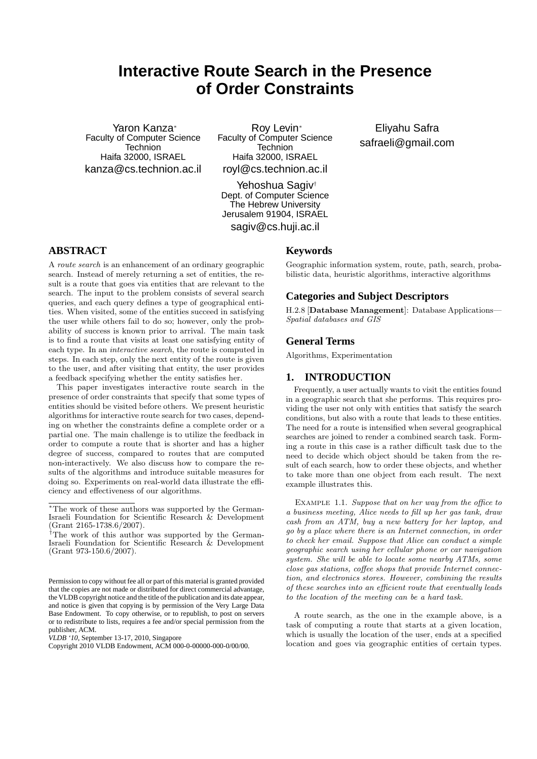# **Interactive Route Search in the Presence of Order Constraints**

Yaron Kanza<sup>∗</sup> Faculty of Computer Science Technion Haifa 32000, ISRAEL kanza@cs.technion.ac.il

Roy Levin<sup>∗</sup> Faculty of Computer Science **Technion** Haifa 32000, ISRAEL royl@cs.technion.ac.il

Yehoshua Sagiv† Dept. of Computer Science The Hebrew University Jerusalem 91904, ISRAEL

sagiv@cs.huji.ac.il

# **ABSTRACT**

A route search is an enhancement of an ordinary geographic search. Instead of merely returning a set of entities, the result is a route that goes via entities that are relevant to the search. The input to the problem consists of several search queries, and each query defines a type of geographical entities. When visited, some of the entities succeed in satisfying the user while others fail to do so; however, only the probability of success is known prior to arrival. The main task is to find a route that visits at least one satisfying entity of each type. In an interactive search, the route is computed in steps. In each step, only the next entity of the route is given to the user, and after visiting that entity, the user provides a feedback specifying whether the entity satisfies her.

This paper investigates interactive route search in the presence of order constraints that specify that some types of entities should be visited before others. We present heuristic algorithms for interactive route search for two cases, depending on whether the constraints define a complete order or a partial one. The main challenge is to utilize the feedback in order to compute a route that is shorter and has a higher degree of success, compared to routes that are computed non-interactively. We also discuss how to compare the results of the algorithms and introduce suitable measures for doing so. Experiments on real-world data illustrate the efficiency and effectiveness of our algorithms.

# **Keywords**

Geographic information system, route, path, search, probabilistic data, heuristic algorithms, interactive algorithms

### **Categories and Subject Descriptors**

H.2.8 [Database Management]: Database Applications— Spatial databases and GIS

### **General Terms**

Algorithms, Experimentation

### **1. INTRODUCTION**

Frequently, a user actually wants to visit the entities found in a geographic search that she performs. This requires providing the user not only with entities that satisfy the search conditions, but also with a route that leads to these entities. The need for a route is intensified when several geographical searches are joined to render a combined search task. Forming a route in this case is a rather difficult task due to the need to decide which object should be taken from the result of each search, how to order these objects, and whether to take more than one object from each result. The next example illustrates this.

EXAMPLE 1.1. Suppose that on her way from the office to a business meeting, Alice needs to fill up her gas tank, draw cash from an ATM, buy a new battery for her laptop, and go by a place where there is an Internet connection, in order to check her email. Suppose that Alice can conduct a simple geographic search using her cellular phone or car navigation system. She will be able to locate some nearby ATMs, some close gas stations, coffee shops that provide Internet connection, and electronics stores. However, combining the results of these searches into an efficient route that eventually leads to the location of the meeting can be a hard task.

A route search, as the one in the example above, is a task of computing a route that starts at a given location, which is usually the location of the user, ends at a specified location and goes via geographic entities of certain types.

Eliyahu Safra safraeli@gmail.com

<sup>∗</sup>The work of these authors was supported by the German-Israeli Foundation for Scientific Research & Development (Grant 2165-1738.6/2007).

<sup>†</sup>The work of this author was supported by the German-Israeli Foundation for Scientific Research & Development (Grant 973-150.6/2007).

Permission to copy without fee all or part of this material is granted provided that the copies are not made or distributed for direct commercial advantage, the VLDB copyright notice and the title of the publication and its date appear, and notice is given that copying is by permission of the Very Large Data Base Endowment. To copy otherwise, or to republish, to post on servers or to redistribute to lists, requires a fee and/or special permission from the publisher, ACM.

*VLDB '10,* September 13-17, 2010, Singapore

Copyright 2010 VLDB Endowment, ACM 000-0-00000-000-0/00/00.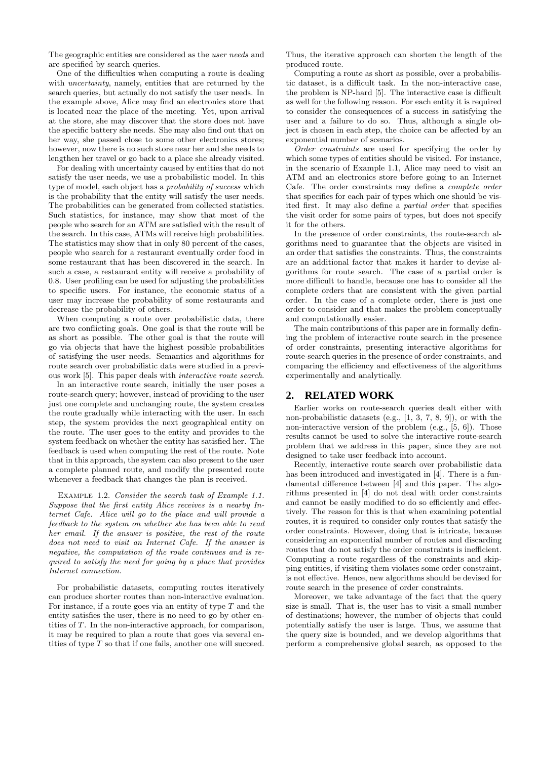The geographic entities are considered as the user needs and are specified by search queries.

One of the difficulties when computing a route is dealing with *uncertainty*, namely, entities that are returned by the search queries, but actually do not satisfy the user needs. In the example above, Alice may find an electronics store that is located near the place of the meeting. Yet, upon arrival at the store, she may discover that the store does not have the specific battery she needs. She may also find out that on her way, she passed close to some other electronics stores; however, now there is no such store near her and she needs to lengthen her travel or go back to a place she already visited.

For dealing with uncertainty caused by entities that do not satisfy the user needs, we use a probabilistic model. In this type of model, each object has a probability of success which is the probability that the entity will satisfy the user needs. The probabilities can be generated from collected statistics. Such statistics, for instance, may show that most of the people who search for an ATM are satisfied with the result of the search. In this case, ATMs will receive high probabilities. The statistics may show that in only 80 percent of the cases, people who search for a restaurant eventually order food in some restaurant that has been discovered in the search. In such a case, a restaurant entity will receive a probability of 0.8. User profiling can be used for adjusting the probabilities to specific users. For instance, the economic status of a user may increase the probability of some restaurants and decrease the probability of others.

When computing a route over probabilistic data, there are two conflicting goals. One goal is that the route will be as short as possible. The other goal is that the route will go via objects that have the highest possible probabilities of satisfying the user needs. Semantics and algorithms for route search over probabilistic data were studied in a previous work [5]. This paper deals with interactive route search.

In an interactive route search, initially the user poses a route-search query; however, instead of providing to the user just one complete and unchanging route, the system creates the route gradually while interacting with the user. In each step, the system provides the next geographical entity on the route. The user goes to the entity and provides to the system feedback on whether the entity has satisfied her. The feedback is used when computing the rest of the route. Note that in this approach, the system can also present to the user a complete planned route, and modify the presented route whenever a feedback that changes the plan is received.

Example 1.2. Consider the search task of Example 1.1. Suppose that the first entity Alice receives is a nearby Internet Cafe. Alice will go to the place and will provide a feedback to the system on whether she has been able to read her email. If the answer is positive, the rest of the route does not need to visit an Internet Cafe. If the answer is negative, the computation of the route continues and is required to satisfy the need for going by a place that provides Internet connection.

For probabilistic datasets, computing routes iteratively can produce shorter routes than non-interactive evaluation. For instance, if a route goes via an entity of type  $T$  and the entity satisfies the user, there is no need to go by other entities of T. In the non-interactive approach, for comparison, it may be required to plan a route that goes via several entities of type T so that if one fails, another one will succeed. Thus, the iterative approach can shorten the length of the produced route.

Computing a route as short as possible, over a probabilistic dataset, is a difficult task. In the non-interactive case, the problem is NP-hard [5]. The interactive case is difficult as well for the following reason. For each entity it is required to consider the consequences of a success in satisfying the user and a failure to do so. Thus, although a single object is chosen in each step, the choice can be affected by an exponential number of scenarios.

Order constraints are used for specifying the order by which some types of entities should be visited. For instance, in the scenario of Example 1.1, Alice may need to visit an ATM and an electronics store before going to an Internet Cafe. The order constraints may define a complete order that specifies for each pair of types which one should be visited first. It may also define a partial order that specifies the visit order for some pairs of types, but does not specify it for the others.

In the presence of order constraints, the route-search algorithms need to guarantee that the objects are visited in an order that satisfies the constraints. Thus, the constraints are an additional factor that makes it harder to devise algorithms for route search. The case of a partial order is more difficult to handle, because one has to consider all the complete orders that are consistent with the given partial order. In the case of a complete order, there is just one order to consider and that makes the problem conceptually and computationally easier.

The main contributions of this paper are in formally defining the problem of interactive route search in the presence of order constraints, presenting interactive algorithms for route-search queries in the presence of order constraints, and comparing the efficiency and effectiveness of the algorithms experimentally and analytically.

### **2. RELATED WORK**

Earlier works on route-search queries dealt either with non-probabilistic datasets (e.g., [1, 3, 7, 8, 9]), or with the non-interactive version of the problem (e.g., [5, 6]). Those results cannot be used to solve the interactive route-search problem that we address in this paper, since they are not designed to take user feedback into account.

Recently, interactive route search over probabilistic data has been introduced and investigated in [4]. There is a fundamental difference between [4] and this paper. The algorithms presented in [4] do not deal with order constraints and cannot be easily modified to do so efficiently and effectively. The reason for this is that when examining potential routes, it is required to consider only routes that satisfy the order constraints. However, doing that is intricate, because considering an exponential number of routes and discarding routes that do not satisfy the order constraints is inefficient. Computing a route regardless of the constraints and skipping entities, if visiting them violates some order constraint, is not effective. Hence, new algorithms should be devised for route search in the presence of order constraints.

Moreover, we take advantage of the fact that the query size is small. That is, the user has to visit a small number of destinations; however, the number of objects that could potentially satisfy the user is large. Thus, we assume that the query size is bounded, and we develop algorithms that perform a comprehensive global search, as opposed to the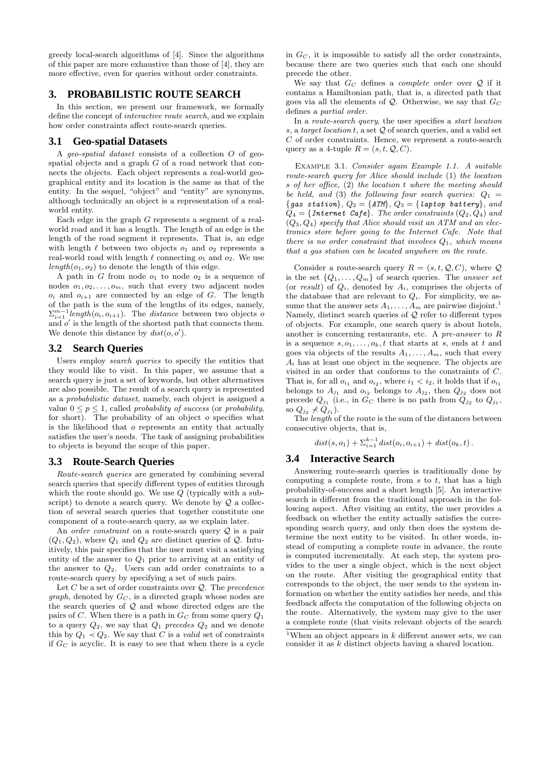greedy local-search algorithms of [4]. Since the algorithms of this paper are more exhaustive than those of [4], they are more effective, even for queries without order constraints.

## **3. PROBABILISTIC ROUTE SEARCH**

In this section, we present our framework, we formally define the concept of interactive route search, and we explain how order constraints affect route-search queries.

### **3.1 Geo-spatial Datasets**

A *geo-spatial dataset* consists of a collection  $O$  of geospatial objects and a graph  $G$  of a road network that connects the objects. Each object represents a real-world geographical entity and its location is the same as that of the entity. In the sequel, "object" and "entity" are synonyms, although technically an object is a representation of a realworld entity.

Each edge in the graph  $G$  represents a segment of a realworld road and it has a length. The length of an edge is the length of the road segment it represents. That is, an edge with length  $\ell$  between two objects  $o_1$  and  $o_2$  represents a real-world road with length  $\ell$  connecting  $o_1$  and  $o_2$ . We use  $length(o_1, o_2)$  to denote the length of this edge.

A path in  $G$  from node  $o_1$  to node  $o_2$  is a sequence of nodes  $o_1, o_2, \ldots, o_m$ , such that every two adjacent nodes  $o_i$  and  $o_{i+1}$  are connected by an edge of G. The length of the path is the sum of the lengths of its edges, namely,  $\sum_{i=1}^{m-1} length(o_i, o_{i+1})$ . The *distance* between two objects of and  $o'$  is the length of the shortest path that connects them. We denote this distance by  $dist(o, o')$ .

### **3.2 Search Queries**

Users employ *search queries* to specify the entities that they would like to visit. In this paper, we assume that a search query is just a set of keywords, but other alternatives are also possible. The result of a search query is represented as a probabilistic dataset, namely, each object is assigned a value  $0 \leq p \leq 1$ , called *probability of success* (or *probability*, for short). The probability of an object  $o$  specifies what is the likelihood that o represents an entity that actually satisfies the user's needs. The task of assigning probabilities to objects is beyond the scope of this paper.

### **3.3 Route-Search Queries**

Route-search queries are generated by combining several search queries that specify different types of entities through which the route should go. We use  $Q$  (typically with a subscript) to denote a search query. We denote by  $Q$  a collection of several search queries that together constitute one component of a route-search query, as we explain later.

An *order constraint* on a route-search query  $Q$  is a pair  $(Q_1, Q_2)$ , where  $Q_1$  and  $Q_2$  are distinct queries of  $Q$ . Intuitively, this pair specifies that the user must visit a satisfying entity of the answer to  $Q_1$  prior to arriving at an entity of the answer to  $Q_2$ . Users can add order constraints to a route-search query by specifying a set of such pairs.

Let  $C$  be a set of order constraints over  $\mathcal{Q}$ . The precedence *graph*, denoted by  $G_C$ , is a directed graph whose nodes are the search queries of Q and whose directed edges are the pairs of  $C$ . When there is a path in  $G_C$  from some query  $Q_1$ to a query  $Q_2$ , we say that  $Q_1$  precedes  $Q_2$  and we denote this by  $Q_1 \prec Q_2$ . We say that C is a *valid* set of constraints if  $G_C$  is acyclic. It is easy to see that when there is a cycle in  $G_C$ , it is impossible to satisfy all the order constraints, because there are two queries such that each one should precede the other.

We say that  $G_C$  defines a *complete order* over  $Q$  if it contains a Hamiltonian path, that is, a directed path that goes via all the elements of  $Q$ . Otherwise, we say that  $G_C$ defines a partial order.

In a route-search query, the user specifies a start location s, a target location t, a set  $Q$  of search queries, and a valid set C of order constraints. Hence, we represent a route-search query as a 4-tuple  $R = (s, t, Q, C)$ .

Example 3.1. Consider again Example 1.1. A suitable route-search query for Alice should include (1) the location s of her office, (2) the location t where the meeting should be held, and (3) the following four search queries:  $Q_1 =$ {gas station},  $Q_2 = \{ATM\}$ ,  $Q_3 = \{$  laptop battery}, and  $Q_4 = \{Internet\;\;Cafe\}.$  The order constraints  $(Q_2, Q_4)$  and  $(Q_3, Q_4)$  specify that Alice should visit an ATM and an electronics store before going to the Internet Cafe. Note that there is no order constraint that involves  $Q_1$ , which means that a gas station can be located anywhere on the route.

Consider a route-search query  $R = (s, t, Q, C)$ , where Q is the set  $\{Q_1, \ldots, Q_m\}$  of search queries. The answer set (or result) of  $Q_i$ , denoted by  $A_i$ , comprises the objects of the database that are relevant to  $Q_i$ . For simplicity, we assume that the answer sets  $A_1, \ldots, A_m$  are pairwise disjoint.<sup>1</sup> Namely, distinct search queries of  $Q$  refer to different types of objects. For example, one search query is about hotels, another is concerning restaurants, etc. A pre-answer to R is a sequence  $s, o_1, \ldots, o_k, t$  that starts at s, ends at t and goes via objects of the results  $A_1, \ldots, A_m$ , such that every  $A_i$  has at least one object in the sequence. The objects are visited in an order that conforms to the constraints of C. That is, for all  $o_{i_1}$  and  $o_{i_2}$ , where  $i_1 < i_2$ , it holds that if  $o_{i_1}$ belongs to  $A_{j_1}$  and  $o_{i_2}$  belongs to  $A_{j_2}$ , then  $Q_{j_2}$  does not precede  $Q_{j_1}$  (i.e., in  $G_C$  there is no path from  $Q_{j_2}$  to  $Q_{j_1}$ , so  $Q_{j_2} \nless Q_{j_1}$ ).

The length of the route is the sum of the distances between consecutive objects, that is,

 $dist(s, o_1) + \sum_{i=1}^{k-1} dist(o_i, o_{i+1}) + dist(o_k, t)$ .

# **3.4 Interactive Search**

Answering route-search queries is traditionally done by computing a complete route, from  $s$  to  $t$ , that has a high probability-of-success and a short length [5]. An interactive search is different from the traditional approach in the following aspect. After visiting an entity, the user provides a feedback on whether the entity actually satisfies the corresponding search query, and only then does the system determine the next entity to be visited. In other words, instead of computing a complete route in advance, the route is computed incrementally. At each step, the system provides to the user a single object, which is the next object on the route. After visiting the geographical entity that corresponds to the object, the user sends to the system information on whether the entity satisfies her needs, and this feedback affects the computation of the following objects on the route. Alternatively, the system may give to the user a complete route (that visits relevant objects of the search

<sup>&</sup>lt;sup>1</sup>When an object appears in  $k$  different answer sets, we can consider it as k distinct objects having a shared location.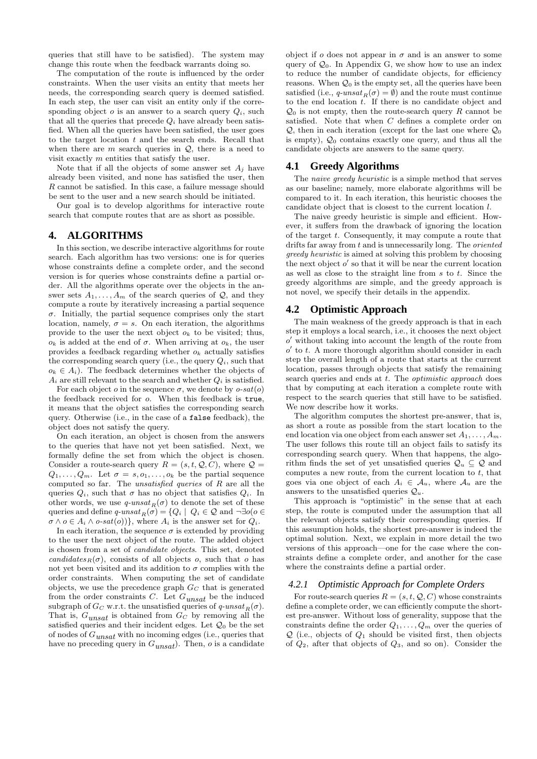queries that still have to be satisfied). The system may change this route when the feedback warrants doing so.

The computation of the route is influenced by the order constraints. When the user visits an entity that meets her needs, the corresponding search query is deemed satisfied. In each step, the user can visit an entity only if the corresponding object  $o$  is an answer to a search query  $Q_i$ , such that all the queries that precede  $Q_i$  have already been satisfied. When all the queries have been satisfied, the user goes to the target location  $t$  and the search ends. Recall that when there are  $m$  search queries in  $Q$ , there is a need to visit exactly m entities that satisfy the user.

Note that if all the objects of some answer set  $A_i$  have already been visited, and none has satisfied the user, then R cannot be satisfied. In this case, a failure message should be sent to the user and a new search should be initiated.

Our goal is to develop algorithms for interactive route search that compute routes that are as short as possible.

### **4. ALGORITHMS**

In this section, we describe interactive algorithms for route search. Each algorithm has two versions: one is for queries whose constraints define a complete order, and the second version is for queries whose constraints define a partial order. All the algorithms operate over the objects in the answer sets  $A_1, \ldots, A_m$  of the search queries of  $\mathcal{Q}$ , and they compute a route by iteratively increasing a partial sequence  $\sigma$ . Initially, the partial sequence comprises only the start location, namely,  $\sigma = s$ . On each iteration, the algorithms provide to the user the next object  $o_k$  to be visited; thus,  $o_k$  is added at the end of  $\sigma$ . When arriving at  $o_k$ , the user provides a feedback regarding whether  $o_k$  actually satisfies the corresponding search query (i.e., the query  $Q_i$ , such that  $o_k \in A_i$ ). The feedback determines whether the objects of  $A_i$  are still relevant to the search and whether  $Q_i$  is satisfied.

For each object *o* in the sequence  $\sigma$ , we denote by *o-sat(o)* the feedback received for o. When this feedback is true, it means that the object satisfies the corresponding search query. Otherwise (i.e., in the case of a false feedback), the object does not satisfy the query.

On each iteration, an object is chosen from the answers to the queries that have not yet been satisfied. Next, we formally define the set from which the object is chosen. Consider a route-search query  $R = (s, t, Q, C)$ , where  $Q =$  $Q_1, \ldots, Q_m$ . Let  $\sigma = s, o_1, \ldots, o_k$  be the partial sequence computed so far. The unsatisfied queries of R are all the queries  $Q_i$ , such that  $\sigma$  has no object that satisfies  $Q_i$ . In other words, we use  $q\text{-}unsat_R(\sigma)$  to denote the set of these queries and define  $q\text{-}unsat_R(\sigma) = \{Q_i \mid Q_i \in \mathcal{Q} \text{ and } \neg \exists o(o \in \mathcal{Q})\}$  $\sigma \wedge \sigma \in A_i \wedge \sigma$ -sat $(\sigma)$ }, where  $A_i$  is the answer set for  $Q_i$ .

In each iteration, the sequence  $\sigma$  is extended by providing to the user the next object of the route. The added object is chosen from a set of candidate objects. This set, denoted candidates<sub>R</sub>( $\sigma$ ), consists of all objects o, such that o has not yet been visited and its addition to  $\sigma$  complies with the order constraints. When computing the set of candidate objects, we use the precedence graph  $G_C$  that is generated from the order constraints C. Let  $G_{unsat}$  be the induced subgraph of  $G_C$  w.r.t. the unsatisfied queries of  $q\text{-}unsat_R(\sigma)$ . That is,  $G_{unsat}$  is obtained from  $G_C$  by removing all the satisfied queries and their incident edges. Let  $\mathcal{Q}_0$  be the set of nodes of  $G_{unsat}$  with no incoming edges (i.e., queries that have no preceding query in  $G_{unsat}$ ). Then,  $o$  is a candidate

object if  $o$  does not appear in  $\sigma$  and is an answer to some query of  $\mathcal{Q}_0$ . In Appendix G, we show how to use an index to reduce the number of candidate objects, for efficiency reasons. When  $\mathcal{Q}_0$  is the empty set, all the queries have been satisfied (i.e.,  $q\text{-}unsat_R(\sigma) = \emptyset$ ) and the route must continue to the end location  $t$ . If there is no candidate object and  $\mathcal{Q}_0$  is not empty, then the route-search query R cannot be satisfied. Note that when C defines a complete order on  $\mathcal{Q}$ , then in each iteration (except for the last one where  $\mathcal{Q}_0$ is empty),  $\mathcal{Q}_0$  contains exactly one query, and thus all the candidate objects are answers to the same query.

### **4.1 Greedy Algorithms**

The *naive greedy heuristic* is a simple method that serves as our baseline; namely, more elaborate algorithms will be compared to it. In each iteration, this heuristic chooses the candidate object that is closest to the current location l.

The naive greedy heuristic is simple and efficient. However, it suffers from the drawback of ignoring the location of the target  $t$ . Consequently, it may compute a route that drifts far away from  $t$  and is unnecessarily long. The *oriented* greedy heuristic is aimed at solving this problem by choosing the next object  $o'$  so that it will be near the current location as well as close to the straight line from  $s$  to  $t$ . Since the greedy algorithms are simple, and the greedy approach is not novel, we specify their details in the appendix.

### **4.2 Optimistic Approach**

The main weakness of the greedy approach is that in each step it employs a local search, i.e., it chooses the next object o ′ without taking into account the length of the route from  $o'$  to  $t$ . A more thorough algorithm should consider in each step the overall length of a route that starts at the current location, passes through objects that satisfy the remaining search queries and ends at  $t$ . The *optimistic approach* does that by computing at each iteration a complete route with respect to the search queries that still have to be satisfied. We now describe how it works.

The algorithm computes the shortest pre-answer, that is, as short a route as possible from the start location to the end location via one object from each answer set  $A_1, \ldots, A_m$ . The user follows this route till an object fails to satisfy its corresponding search query. When that happens, the algorithm finds the set of yet unsatisfied queries  $\mathcal{Q}_u \subseteq \mathcal{Q}$  and computes a new route, from the current location to  $t$ , that goes via one object of each  $A_i \in \mathcal{A}_u$ , where  $\mathcal{A}_u$  are the answers to the unsatisfied queries  $\mathcal{Q}_u$ .

This approach is "optimistic" in the sense that at each step, the route is computed under the assumption that all the relevant objects satisfy their corresponding queries. If this assumption holds, the shortest pre-answer is indeed the optimal solution. Next, we explain in more detail the two versions of this approach—one for the case where the constraints define a complete order, and another for the case where the constraints define a partial order.

#### *4.2.1 Optimistic Approach for Complete Orders*

For route-search queries  $R = (s, t, Q, C)$  whose constraints define a complete order, we can efficiently compute the shortest pre-answer. Without loss of generality, suppose that the constraints define the order  $Q_1, \ldots, Q_m$  over the queries of  $Q$  (i.e., objects of  $Q_1$  should be visited first, then objects of  $Q_2$ , after that objects of  $Q_3$ , and so on). Consider the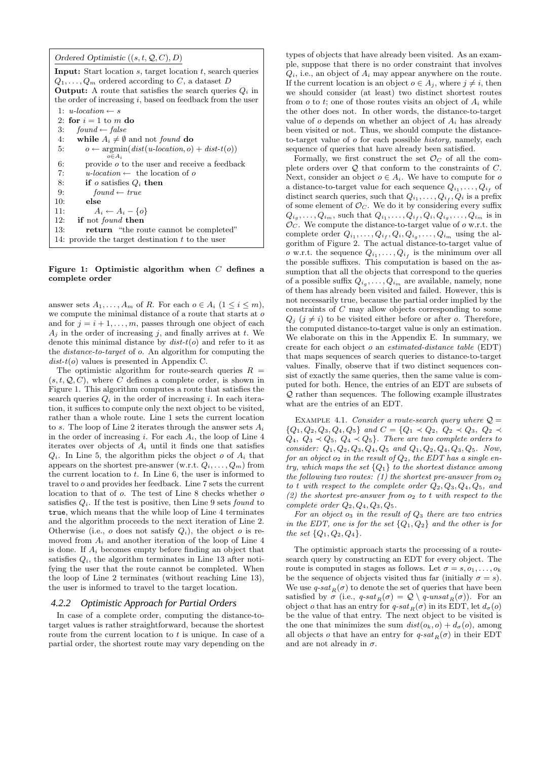|  |  |  | Ordered Optimistic $((s, t, Q, C), D)$ |  |
|--|--|--|----------------------------------------|--|
|--|--|--|----------------------------------------|--|

| <b>Input:</b> Start location s, target location t, search queries<br>$Q_1, \ldots, Q_m$ ordered according to C, a dataset D<br><b>Output:</b> A route that satisfies the search queries $Q_i$ in |
|--------------------------------------------------------------------------------------------------------------------------------------------------------------------------------------------------|
| the order of increasing i, based on feedback from the user                                                                                                                                       |
| 1: $u\text{-}location \leftarrow s$                                                                                                                                                              |
|                                                                                                                                                                                                  |
| 2: for $i=1$ to m do                                                                                                                                                                             |
| 3:<br>$found \leftarrow false$                                                                                                                                                                   |
| while $A_i \neq \emptyset$ and not <i>found</i> do<br>4:                                                                                                                                         |
| $o \leftarrow \text{argmin}(dist(u\text{-}location, o) + dist\text{-}t(o))$<br>5:                                                                                                                |
| $o \in A$                                                                                                                                                                                        |
| 6:<br>provide $\sigma$ to the user and receive a feedback                                                                                                                                        |
| 7:<br>u-location $\leftarrow$ the location of o                                                                                                                                                  |
| if <i>o</i> satisfies $Q_i$ then<br>8:                                                                                                                                                           |
| 9:<br>$found \leftarrow true$                                                                                                                                                                    |
| 10:<br>else                                                                                                                                                                                      |
| 11:<br>$A_i \leftarrow A_i - \{o\}$                                                                                                                                                              |
| 12:<br>if not <i>found</i> then                                                                                                                                                                  |
| 13:<br><b>return</b> "the route cannot be completed"                                                                                                                                             |
| 14: provide the target destination t to the user                                                                                                                                                 |
|                                                                                                                                                                                                  |

#### Figure 1: Optimistic algorithm when  $C$  defines a complete order

answer sets  $A_1, \ldots, A_m$  of R. For each  $o \in A_i$   $(1 \leq i \leq m)$ , we compute the minimal distance of a route that starts at  $\boldsymbol{o}$ and for  $j = i + 1, \ldots, m$ , passes through one object of each  $A_i$  in the order of increasing j, and finally arrives at t. We denote this minimal distance by  $dist-t(o)$  and refer to it as the distance-to-target of o. An algorithm for computing the  $dist-t(o)$  values is presented in Appendix C.

The optimistic algorithm for route-search queries  $R =$  $(s, t, Q, C)$ , where C defines a complete order, is shown in Figure 1. This algorithm computes a route that satisfies the search queries  $Q_i$  in the order of increasing i. In each iteration, it suffices to compute only the next object to be visited, rather than a whole route. Line 1 sets the current location to s. The loop of Line 2 iterates through the answer sets  $A_i$ in the order of increasing i. For each  $A_i$ , the loop of Line 4 iterates over objects of  $A_i$  until it finds one that satisfies  $Q_i$ . In Line 5, the algorithm picks the object o of  $A_i$  that appears on the shortest pre-answer (w.r.t.  $Q_i, \ldots, Q_m$ ) from the current location to  $t$ . In Line 6, the user is informed to travel to o and provides her feedback. Line 7 sets the current location to that of  $o$ . The test of Line 8 checks whether  $o$ satisfies  $Q_i$ . If the test is positive, then Line 9 sets *found* to true, which means that the while loop of Line 4 terminates and the algorithm proceeds to the next iteration of Line 2. Otherwise (i.e.,  $o$  does not satisfy  $Q_i$ ), the object  $o$  is removed from  $A_i$  and another iteration of the loop of Line 4 is done. If  $A_i$  becomes empty before finding an object that satisfies  $Q_i$ , the algorithm terminates in Line 13 after notifying the user that the route cannot be completed. When the loop of Line 2 terminates (without reaching Line 13), the user is informed to travel to the target location.

#### *4.2.2 Optimistic Approach for Partial Orders*

In case of a complete order, computing the distance-totarget values is rather straightforward, because the shortest route from the current location to  $t$  is unique. In case of a partial order, the shortest route may vary depending on the

types of objects that have already been visited. As an example, suppose that there is no order constraint that involves  $Q_i$ , i.e., an object of  $A_i$  may appear anywhere on the route. If the current location is an object  $o \in A_i$ , where  $j \neq i$ , then we should consider (at least) two distinct shortest routes from  $o$  to  $t$ ; one of those routes visits an object of  $A_i$  while the other does not. In other words, the distance-to-target value of  $o$  depends on whether an object of  $A_i$  has already been visited or not. Thus, we should compute the distanceto-target value of o for each possible history, namely, each sequence of queries that have already been satisfied.

Formally, we first construct the set  $\mathcal{O}_C$  of all the complete orders over  $Q$  that conform to the constraints of  $C$ . Next, consider an object  $o \in A_i$ . We have to compute for o a distance-to-target value for each sequence  $Q_{i_1}, \ldots, Q_{i_f}$  of distinct search queries, such that  $Q_{i_1}, \ldots, Q_{i_f}, Q_i$  is a prefix of some element of  $\mathcal{O}_C$ . We do it by considering every suffix  $Q_{i_g}, \ldots, Q_{i_m}$ , such that  $Q_{i_1}, \ldots, Q_{i_f}, Q_i, Q_{i_g}, \ldots, Q_{i_m}$  is in  $\mathcal{O}_C$ . We compute the distance-to-target value of o w.r.t. the complete order  $Q_{i_1}, \ldots, Q_{i_f}, Q_i, Q_{i_g}, \ldots, Q_{i_m}$  using the algorithm of Figure 2. The actual distance-to-target value of *o* w.r.t. the sequence  $Q_{i_1}, \ldots, Q_{i_f}$  is the minimum over all the possible suffixes. This computation is based on the assumption that all the objects that correspond to the queries of a possible suffix  $Q_{i_g}, \ldots, Q_{i_m}$  are available, namely, none of them has already been visited and failed. However, this is not necessarily true, because the partial order implied by the constraints of C may allow objects corresponding to some  $Q_i$   $(j \neq i)$  to be visited either before or after o. Therefore, the computed distance-to-target value is only an estimation. We elaborate on this in the Appendix E. In summary, we create for each object o an estimated-distance table (EDT) that maps sequences of search queries to distance-to-target values. Finally, observe that if two distinct sequences consist of exactly the same queries, then the same value is computed for both. Hence, the entries of an EDT are subsets of  $Q$  rather than sequences. The following example illustrates what are the entries of an EDT.

EXAMPLE 4.1. Consider a route-search query where  $\mathcal{Q} =$  ${Q_1, Q_2, Q_3, Q_4, Q_5}$  and  $C = {Q_1 \prec Q_2, Q_2 \prec Q_3, Q_2 \prec Q_4}$  $Q_4, Q_3 \prec Q_5, Q_4 \prec Q_5$ . There are two complete orders to consider:  $Q_1, Q_2, Q_3, Q_4, Q_5$  and  $Q_1, Q_2, Q_4, Q_3, Q_5$ . Now, for an object  $o_2$  in the result of  $Q_2$ , the EDT has a single entry, which maps the set  ${Q_1}$  to the shortest distance among the following two routes: (1) the shortest pre-answer from  $o_2$ to t with respect to the complete order  $Q_2, Q_3, Q_4, Q_5$ , and (2) the shortest pre-answer from  $o_2$  to t with respect to the complete order  $Q_2, Q_4, Q_3, Q_5$ .

For an object  $o_3$  in the result of  $Q_3$  there are two entries in the EDT, one is for the set  $\{Q_1, Q_2\}$  and the other is for the set  $\{Q_1, Q_2, Q_4\}.$ 

The optimistic approach starts the processing of a routesearch query by constructing an EDT for every object. The route is computed in stages as follows. Let  $\sigma = s, o_1, \ldots, o_k$ be the sequence of objects visited thus far (initially  $\sigma = s$ ). We use  $q$ -sat $_R(\sigma)$  to denote the set of queries that have been satisfied by  $\sigma$  (i.e.,  $q\text{-}sat_B(\sigma) = \mathcal{Q} \setminus q\text{-}unsat_B(\sigma)$ ). For an object o that has an entry for  $q$ -sat $_R(\sigma)$  in its EDT, let  $d_{\sigma}(o)$ be the value of that entry. The next object to be visited is the one that minimizes the sum  $dist(o_k, o) + d_{\sigma}(o)$ , among all objects o that have an entry for  $q\text{-}sat_R(\sigma)$  in their EDT and are not already in  $\sigma$ .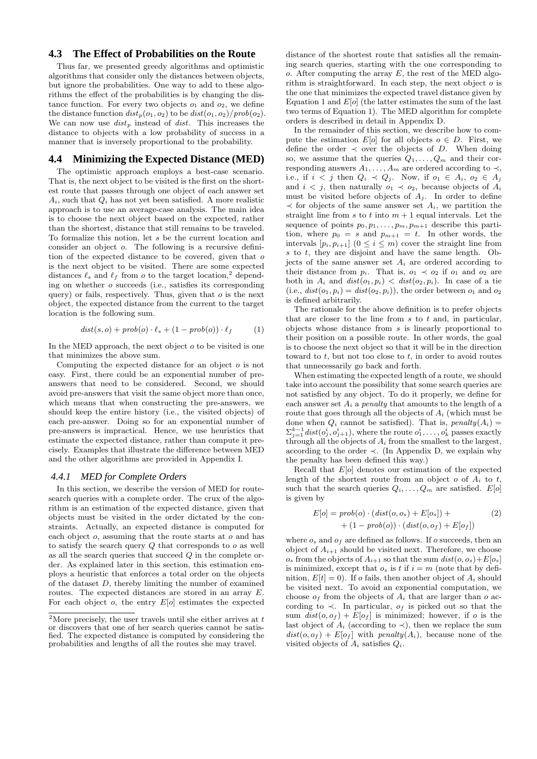### **4.3 The Effect of Probabilities on the Route**

Thus far, we presented greedy algorithms and optimistic algorithms that consider only the distances between objects, but ignore the probabilities. One way to add to these algorithms the effect of the probabilities is by changing the distance function. For every two objects  $o_1$  and  $o_2$ , we define the distance function  $dist_p(o_1, o_2)$  to be  $dist(o_1, o_2)/prob(o_2)$ . We can now use  $dist_p$  instead of dist. This increases the distance to objects with a low probability of success in a manner that is inversely proportional to the probability.

### **4.4 Minimizing the Expected Distance (MED)**

The optimistic approach employs a best-case scenario. That is, the next object to be visited is the first on the shortest route that passes through one object of each answer set  $A_i$ , such that  $Q_i$  has not yet been satisfied. A more realistic approach is to use an average-case analysis. The main idea is to choose the next object based on the expected, rather than the shortest, distance that still remains to be traveled. To formalize this notion, let s be the current location and consider an object o. The following is a recursive definition of the expected distance to be covered, given that o is the next object to be visited. There are some expected distances  $\ell_s$  and  $\ell_f$  from *o* to the target location,<sup>2</sup> depending on whether o succeeds (i.e., satisfies its corresponding query) or fails, respectively. Thus, given that  $o$  is the next object, the expected distance from the current to the target location is the following sum.

$$
dist(s, o) + prob(o) \cdot \ell_s + (1 - prob(o)) \cdot \ell_f \qquad (1)
$$

In the MED approach, the next object  $o$  to be visited is one that minimizes the above sum.

Computing the expected distance for an object  $o$  is not easy. First, there could be an exponential number of preanswers that need to be considered. Second, we should avoid pre-answers that visit the same object more than once, which means that when constructing the pre-answers, we should keep the entire history (i.e., the visited objects) of each pre-answer. Doing so for an exponential number of pre-answers is impractical. Hence, we use heuristics that estimate the expected distance, rather than compute it precisely. Examples that illustrate the difference between MED and the other algorithms are provided in Appendix I.

### *4.4.1 MED for Complete Orders*

In this section, we describe the version of MED for routesearch queries with a complete order. The crux of the algorithm is an estimation of the expected distance, given that objects must be visited in the order dictated by the constraints. Actually, an expected distance is computed for each object  $o$ , assuming that the route starts at  $o$  and has to satisfy the search query  $Q$  that corresponds to  $o$  as well as all the search queries that succeed Q in the complete order. As explained later in this section, this estimation employs a heuristic that enforces a total order on the objects of the dataset D, thereby limiting the number of examined routes. The expected distances are stored in an array E. For each object  $o$ , the entry  $E[o]$  estimates the expected

distance of the shortest route that satisfies all the remaining search queries, starting with the one corresponding to  $o.$  After computing the array  $E$ , the rest of the MED algorithm is straightforward. In each step, the next object  $o$  is the one that minimizes the expected travel distance given by Equation 1 and  $E[*o*]$  (the latter estimates the sum of the last two terms of Equation 1). The MED algorithm for complete orders is described in detail in Appendix D.

In the remainder of this section, we describe how to compute the estimation  $E[o]$  for all objects  $o \in D$ . First, we define the order  $\prec$  over the objects of D. When doing so, we assume that the queries  $Q_1, \ldots, Q_m$  and their corresponding answers  $A_1, \ldots, A_m$  are ordered according to  $\prec$ , i.e., if  $i < j$  then  $Q_i \prec Q_j$ . Now, if  $o_1 \in A_i$ ,  $o_2 \in A_j$ and  $i < j$ , then naturally  $o_1 \prec o_2$ , because objects of  $A_i$ must be visited before objects of  $A_j$ . In order to define  $\prec$  for objects of the same answer set  $A_i$ , we partition the straight line from s to t into  $m + 1$  equal intervals. Let the sequence of points  $p_0, p_1, \ldots, p_m, p_{m+1}$  describe this partition, where  $p_0 = s$  and  $p_{m+1} = t$ . In other words, the intervals  $[p_i, p_{i+1}]$   $(0 \leq i \leq m)$  cover the straight line from s to t, they are disjoint and have the same length. Objects of the same answer set  $A_i$  are ordered according to their distance from  $p_i$ . That is,  $o_1 \prec o_2$  if  $o_1$  and  $o_2$  are both in  $A_i$  and  $dist(o_1, p_i) < dist(o_2, p_i)$ . In case of a tie (i.e.,  $dist(o_1, p_i) = dist(o_2, p_i)$ ), the order between  $o_1$  and  $o_2$ is defined arbitrarily.

The rationale for the above definition is to prefer objects that are closer to the line from  $s$  to  $t$  and, in particular, objects whose distance from  $s$  is linearly proportional to their position on a possible route. In other words, the goal is to choose the next object so that it will be in the direction toward to  $t$ , but not too close to  $t$ , in order to avoid routes that unnecessarily go back and forth.

When estimating the expected length of a route, we should take into account the possibility that some search queries are not satisfied by any object. To do it properly, we define for each answer set  $A_i$  a *penalty* that amounts to the length of a route that goes through all the objects of  $A_i$  (which must be done when  $Q_i$  cannot be satisfied). That is, penalty $(A_i)$  =  $\Sigma_{j=1}^{k-1} dist(o_j^i, o_{j+1}^i)$ , where the route  $o_1^i, \ldots, o_k^i$  passes exactly through all the objects of  $A_i$  from the smallest to the largest, according to the order  $\prec$ . (In Appendix D, we explain why the penalty has been defined this way.)

Recall that  $E[o]$  denotes our estimation of the expected length of the shortest route from an object  $o$  of  $A_i$  to  $t$ , such that the search queries  $Q_i, \ldots, Q_m$  are satisfied.  $E[\rho]$ is given by

$$
E[o] = prob(o) \cdot (dist(o, os) + E[os]) + + (1 - prob(o)) \cdot (dist(o, of) + E[of])
$$
 (2)

where  $o_s$  and  $o_f$  are defined as follows. If  $o$  succeeds, then an object of  $A_{i+1}$  should be visited next. Therefore, we choose  $o_s$  from the objects of  $A_{i+1}$  so that the sum  $dist(o, o_s) + E[o_s]$ is minimized, except that  $o_s$  is t if  $i = m$  (note that by definition,  $E[t] = 0$ . If o fails, then another object of  $A_i$  should be visited next. To avoid an exponential computation, we choose  $o<sub>f</sub>$  from the objects of  $A<sub>i</sub>$  that are larger than o according to  $\prec$ . In particular,  $o_f$  is picked out so that the sum  $dist(o, o_f) + E[o_f]$  is minimized; however, if o is the last object of  $A_i$  (according to  $\prec$ ), then we replace the sum  $dist(o, o_f) + E[o_f]$  with penalty $(A_i)$ , because none of the visited objects of  $A_i$  satisfies  $Q_i$ .

 $\overline{\textbf{2}\text{More precisely,}}$  the user travels until she either arrives at  $t$ or discovers that one of her search queries cannot be satisfied. The expected distance is computed by considering the probabilities and lengths of all the routes she may travel.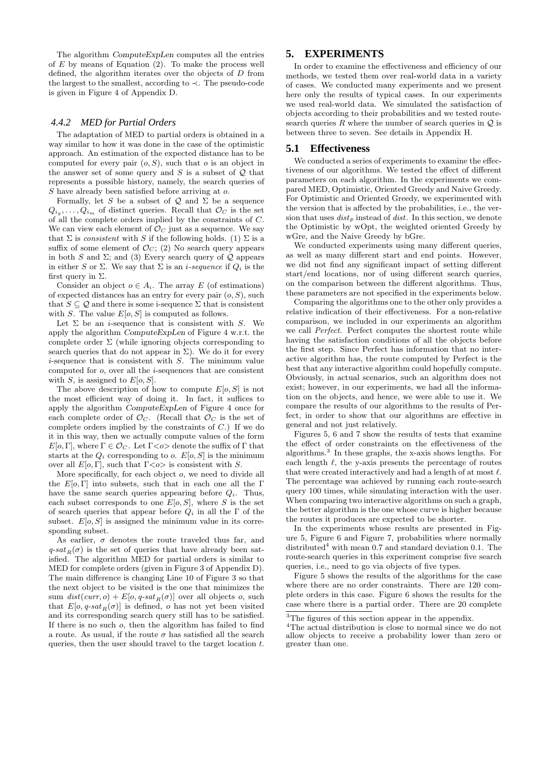The algorithm ComputeExpLen computes all the entries of  $E$  by means of Equation (2). To make the process well defined, the algorithm iterates over the objects of D from the largest to the smallest, according to ≺. The pseudo-code is given in Figure 4 of Appendix D.

#### *4.4.2 MED for Partial Orders*

The adaptation of MED to partial orders is obtained in a way similar to how it was done in the case of the optimistic approach. An estimation of the expected distance has to be computed for every pair  $(o, S)$ , such that  $o$  is an object in the answer set of some query and  $S$  is a subset of  $Q$  that represents a possible history, namely, the search queries of S have already been satisfied before arriving at o.

Formally, let S be a subset of  $\mathcal Q$  and  $\Sigma$  be a sequence  $Q_{i_g}, \ldots, Q_{i_m}$  of distinct queries. Recall that  $\mathcal{O}_C$  is the set of all the complete orders implied by the constraints of C. We can view each element of  $\mathcal{O}_C$  just as a sequence. We say that  $\Sigma$  is *consistent* with S if the following holds. (1)  $\Sigma$  is a suffix of some element of  $\mathcal{O}_C$ ; (2) No search query appears in both S and  $\Sigma$ ; and (3) Every search query of Q appears in either S or  $\Sigma$ . We say that  $\Sigma$  is an *i-sequence* if  $Q_i$  is the first query in  $\Sigma$ .

Consider an object  $o \in A_i$ . The array E (of estimations) of expected distances has an entry for every pair  $(o, S)$ , such that  $S \subseteq \mathcal{Q}$  and there is some i-sequence  $\Sigma$  that is consistent with S. The value  $E[0, S]$  is computed as follows.

Let  $\Sigma$  be an *i*-sequence that is consistent with S. We apply the algorithm ComputeExpLen of Figure 4 w.r.t. the complete order  $\Sigma$  (while ignoring objects corresponding to search queries that do not appear in  $\Sigma$ ). We do it for every i-sequence that is consistent with S. The minimum value computed for o, over all the i-sequences that are consistent with S, is assigned to  $E[0, S]$ .

The above description of how to compute  $E[0, S]$  is not the most efficient way of doing it. In fact, it suffices to apply the algorithm ComputeExpLen of Figure 4 once for each complete order of  $\mathcal{O}_C$ . (Recall that  $\mathcal{O}_C$  is the set of complete orders implied by the constraints of  $C$ .) If we do it in this way, then we actually compute values of the form  $E[<sub>o</sub>, <sub>Γ</sub>],$  where  $\Gamma \in \mathcal{O}_C$ . Let  $\Gamma \langle <sub>o</sub> \rangle$  denote the suffix of  $\Gamma$  that starts at the  $Q_i$  corresponding to o.  $E[0, S]$  is the minimum over all  $E[0, \Gamma]$ , such that  $\Gamma \langle \phi \rangle$  is consistent with S.

More specifically, for each object *o*, we need to divide all the  $E[0, \Gamma]$  into subsets, such that in each one all the  $\Gamma$ have the same search queries appearing before  $Q_i$ . Thus, each subset corresponds to one  $E[0, S]$ , where S is the set of search queries that appear before  $Q_i$  in all the  $\Gamma$  of the subset.  $E[0, S]$  is assigned the minimum value in its corresponding subset.

As earlier,  $\sigma$  denotes the route traveled thus far, and  $q-sat_R(\sigma)$  is the set of queries that have already been satisfied. The algorithm MED for partial orders is similar to MED for complete orders (given in Figure 3 of Appendix D). The main difference is changing Line 10 of Figure 3 so that the next object to be visited is the one that minimizes the sum  $dist(curr, o) + E[o, q-sat_B(\sigma)]$  over all objects o, such that  $E[0, q\text{-}sat_R(\sigma)]$  is defined, o has not yet been visited and its corresponding search query still has to be satisfied. If there is no such o, then the algorithm has failed to find a route. As usual, if the route  $\sigma$  has satisfied all the search queries, then the user should travel to the target location t.

# **5. EXPERIMENTS**

In order to examine the effectiveness and efficiency of our methods, we tested them over real-world data in a variety of cases. We conducted many experiments and we present here only the results of typical cases. In our experiments we used real-world data. We simulated the satisfaction of objects according to their probabilities and we tested routesearch queries  $R$  where the number of search queries in  $Q$  is between three to seven. See details in Appendix H.

### **5.1 Effectiveness**

We conducted a series of experiments to examine the effectiveness of our algorithms. We tested the effect of different parameters on each algorithm. In the experiments we compared MED, Optimistic, Oriented Greedy and Naive Greedy. For Optimistic and Oriented Greedy, we experimented with the version that is affected by the probabilities, i.e., the version that uses  $dist_p$  instead of dist. In this section, we denote the Optimistic by wOpt, the weighted oriented Greedy by wGre, and the Naive Greedy by bGre.

We conducted experiments using many different queries, as well as many different start and end points. However, we did not find any significant impact of setting different start/end locations, nor of using different search queries, on the comparison between the different algorithms. Thus, these parameters are not specified in the experiments below.

Comparing the algorithms one to the other only provides a relative indication of their effectiveness. For a non-relative comparison, we included in our experiments an algorithm we call Perfect. Perfect computes the shortest route while having the satisfaction conditions of all the objects before the first step. Since Perfect has information that no interactive algorithm has, the route computed by Perfect is the best that any interactive algorithm could hopefully compute. Obviously, in actual scenarios, such an algorithm does not exist; however, in our experiments, we had all the information on the objects, and hence, we were able to use it. We compare the results of our algorithms to the results of Perfect, in order to show that our algorithms are effective in general and not just relatively.

Figures 5, 6 and 7 show the results of tests that examine the effect of order constraints on the effectiveness of the algorithms.<sup>3</sup> In these graphs, the x-axis shows lengths. For each length  $\ell$ , the y-axis presents the percentage of routes that were created interactively and had a length of at most  $\ell$ . The percentage was achieved by running each route-search query 100 times, while simulating interaction with the user. When comparing two interactive algorithms on such a graph, the better algorithm is the one whose curve is higher because the routes it produces are expected to be shorter.

In the experiments whose results are presented in Figure 5, Figure 6 and Figure 7, probabilities where normally distributed<sup>4</sup> with mean 0.7 and standard deviation 0.1. The route-search queries in this experiment comprise five search queries, i.e., need to go via objects of five types.

Figure 5 shows the results of the algorithms for the case where there are no order constraints. There are 120 complete orders in this case. Figure 6 shows the results for the case where there is a partial order. There are 20 complete

 $^3 \mathrm{The}$  figures of this section appear in the appendix.

<sup>4</sup>The actual distribution is close to normal since we do not allow objects to receive a probability lower than zero or greater than one.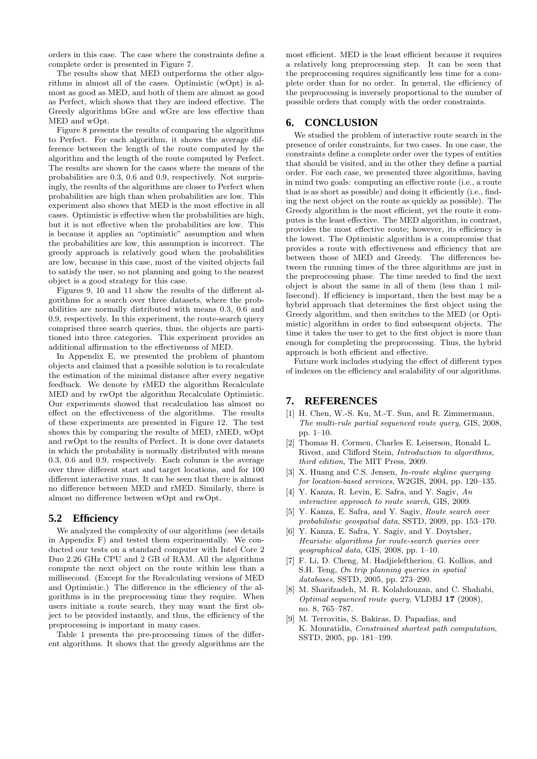orders in this case. The case where the constraints define a complete order is presented in Figure 7.

The results show that MED outperforms the other algorithms in almost all of the cases. Optimistic (wOpt) is almost as good as MED, and both of them are almost as good as Perfect, which shows that they are indeed effective. The Greedy algorithms bGre and wGre are less effective than MED and wOpt.

Figure 8 presents the results of comparing the algorithms to Perfect. For each algorithm, it shows the average difference between the length of the route computed by the algorithm and the length of the route computed by Perfect. The results are shown for the cases where the means of the probabilities are 0.3, 0.6 and 0.9, respectively. Not surprisingly, the results of the algorithms are closer to Perfect when probabilities are high than when probabilities are low. This experiment also shows that MED is the most effective in all cases. Optimistic is effective when the probabilities are high, but it is not effective when the probabilities are low. This is because it applies an "optimistic" assumption and when the probabilities are low, this assumption is incorrect. The greedy approach is relatively good when the probabilities are low, because in this case, most of the visited objects fail to satisfy the user, so not planning and going to the nearest object is a good strategy for this case.

Figures 9, 10 and 11 show the results of the different algorithms for a search over three datasets, where the probabilities are normally distributed with means 0.3, 0.6 and 0.9, respectively. In this experiment, the route-search query comprised three search queries, thus, the objects are partitioned into three categories. This experiment provides an additional affirmation to the effectiveness of MED.

In Appendix E, we presented the problem of phantom objects and claimed that a possible solution is to recalculate the estimation of the minimal distance after every negative feedback. We denote by rMED the algorithm Recalculate MED and by rwOpt the algorithm Recalculate Optimistic. Our experiments showed that recalculation has almost no effect on the effectiveness of the algorithms. The results of these experiments are presented in Figure 12. The test shows this by comparing the results of MED, rMED, wOpt and rwOpt to the results of Perfect. It is done over datasets in which the probability is normally distributed with means 0.3, 0.6 and 0.9, respectively. Each column is the average over three different start and target locations, and for 100 different interactive runs. It can be seen that there is almost no difference between MED and rMED. Similarly, there is almost no difference between wOpt and rwOpt.

### **5.2 Efficiency**

We analyzed the complexity of our algorithms (see details in Appendix F) and tested them experimentally. We conducted our tests on a standard computer with Intel Core 2 Duo 2.26 GHz CPU and 2 GB of RAM. All the algorithms compute the next object on the route within less than a millisecond. (Except for the Recalculating versions of MED and Optimistic.) The difference in the efficiency of the algorithms is in the preprocessing time they require. When users initiate a route search, they may want the first object to be provided instantly, and thus, the efficiency of the preprocessing is important in many cases.

Table 1 presents the pre-processing times of the different algorithms. It shows that the greedy algorithms are the

most efficient. MED is the least efficient because it requires a relatively long preprocessing step. It can be seen that the preprocessing requires significantly less time for a complete order than for no order. In general, the efficiency of the preprocessing is inversely proportional to the number of possible orders that comply with the order constraints.

### **6. CONCLUSION**

We studied the problem of interactive route search in the presence of order constraints, for two cases. In one case, the constraints define a complete order over the types of entities that should be visited, and in the other they define a partial order. For each case, we presented three algorithms, having in mind two goals: computing an effective route (i.e., a route that is as short as possible) and doing it efficiently (i.e., finding the next object on the route as quickly as possible). The Greedy algorithm is the most efficient, yet the route it computes is the least effective. The MED algorithm, in contrast, provides the most effective route; however, its efficiency is the lowest. The Optimistic algorithm is a compromise that provides a route with effectiveness and efficiency that are between those of MED and Greedy. The differences between the running times of the three algorithms are just in the preprocessing phase. The time needed to find the next object is about the same in all of them (less than 1 millisecond). If efficiency is important, then the best may be a hybrid approach that determines the first object using the Greedy algorithm, and then switches to the MED (or Optimistic) algorithm in order to find subsequent objects. The time it takes the user to get to the first object is more than enough for completing the preprocessing. Thus, the hybrid approach is both efficient and effective.

Future work includes studying the effect of different types of indexes on the efficiency and scalability of our algorithms.

### **7. REFERENCES**

- [1] H. Chen, W.-S. Ku, M.-T. Sun, and R. Zimmermann, The multi-rule partial sequenced route query, GIS, 2008, pp. 1–10.
- [2] Thomas H. Cormen, Charles E. Leiserson, Ronald L. Rivest, and Clifford Stein, Introduction to algorithms, third edition, The MIT Press, 2009.
- [3] X. Huang and C.S. Jensen, In-route skyline querying for location-based services, W2GIS, 2004, pp. 120–135.
- [4] Y. Kanza, R. Levin, E. Safra, and Y. Sagiv, An interactive approach to route search, GIS, 2009.
- [5] Y. Kanza, E. Safra, and Y. Sagiv, Route search over probabilistic geospatial data, SSTD, 2009, pp. 153–170.
- [6] Y. Kanza, E. Safra, Y. Sagiv, and Y. Doytsher, Heuristic algorithms for route-search queries over geographical data, GIS, 2008, pp. 1–10.
- [7] F. Li, D. Cheng, M. Hadjieleftheriou, G. Kollios, and S.H. Teng, On trip planning queries in spatial databases, SSTD, 2005, pp. 273–290.
- [8] M. Sharifzadeh, M. R. Kolahdouzan, and C. Shahabi, Optimal sequenced route query, VLDBJ 17 (2008), no. 8, 765–787.
- [9] M. Terrovitis, S. Bakiras, D. Papadias, and K. Mouratidis, Constrained shortest path computation, SSTD, 2005, pp. 181–199.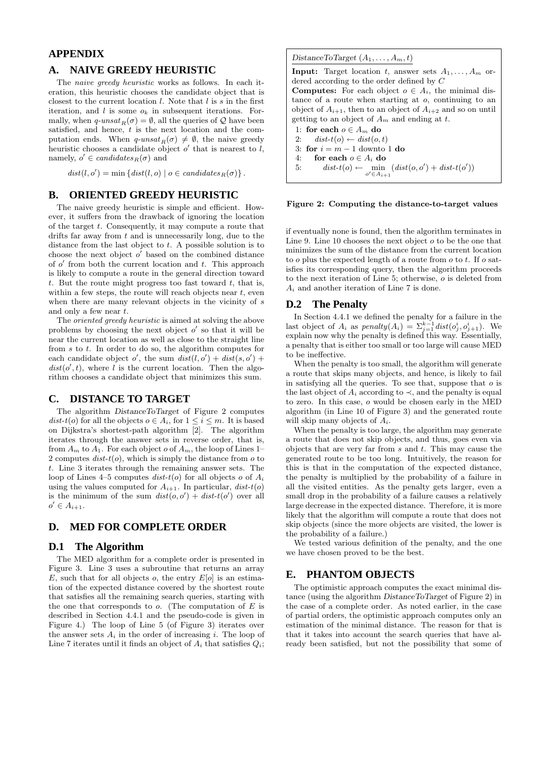### **APPENDIX**

### **A. NAIVE GREEDY HEURISTIC**

The naive greedy heuristic works as follows. In each iteration, this heuristic chooses the candidate object that is closest to the current location  $l$ . Note that  $l$  is  $s$  in the first iteration, and  $l$  is some  $o_k$  in subsequent iterations. Formally, when  $q\text{-}unsat_R(\sigma) = \emptyset$ , all the queries of  $\mathcal Q$  have been satisfied, and hence,  $t$  is the next location and the computation ends. When  $q\text{-}unsat_R(\sigma) \neq \emptyset$ , the naive greedy heuristic chooses a candidate object  $o'$  that is nearest to  $l$ , namely,  $o' \in candidates_R(\sigma)$  and

 $dist(l, o') = \min \{ dist(l, o) \mid o \in candidates_R(\sigma) \}.$ 

### **B. ORIENTED GREEDY HEURISTIC**

The naive greedy heuristic is simple and efficient. However, it suffers from the drawback of ignoring the location of the target t. Consequently, it may compute a route that drifts far away from t and is unnecessarily long, due to the distance from the last object to t. A possible solution is to choose the next object  $o'$  based on the combined distance of  $o'$  from both the current location and  $t$ . This approach is likely to compute a route in the general direction toward t. But the route might progress too fast toward  $t$ , that is, within a few steps, the route will reach objects near  $t$ , even when there are many relevant objects in the vicinity of s and only a few near t.

The oriented greedy heuristic is aimed at solving the above problems by choosing the next object  $o'$  so that it will be near the current location as well as close to the straight line from  $s$  to  $t$ . In order to do so, the algorithm computes for each candidate object o', the sum  $dist(l, o') + dist(s, o') +$  $dist(o', t)$ , where l is the current location. Then the algorithm chooses a candidate object that minimizes this sum.

### **C. DISTANCE TO TARGET**

The algorithm DistanceToTarget of Figure 2 computes dist-t(o) for all the objects  $o \in A_i$ , for  $1 \leq i \leq m$ . It is based on Dijkstra's shortest-path algorithm [2]. The algorithm iterates through the answer sets in reverse order, that is, from  $A_m$  to  $A_1$ . For each object  $o$  of  $A_m$ , the loop of Lines 1– 2 computes  $dist-t(o)$ , which is simply the distance from  $o$  to t. Line 3 iterates through the remaining answer sets. The loop of Lines 4–5 computes dist-t(o) for all objects o of  $A_i$ using the values computed for  $A_{i+1}$ . In particular,  $dist-t(o)$ is the minimum of the sum  $dist(o, o') + dist-t(o')$  over all  $o' \in A_{i+1}.$ 

## **D. MED FOR COMPLETE ORDER**

### **D.1 The Algorithm**

The MED algorithm for a complete order is presented in Figure 3. Line 3 uses a subroutine that returns an array E, such that for all objects o, the entry  $E[*o*]$  is an estimation of the expected distance covered by the shortest route that satisfies all the remaining search queries, starting with the one that corresponds to  $o$ . (The computation of  $E$  is described in Section 4.4.1 and the pseudo-code is given in Figure 4.) The loop of Line 5 (of Figure 3) iterates over the answer sets  $A_i$  in the order of increasing i. The loop of Line 7 iterates until it finds an object of  $A_i$  that satisfies  $Q_i$ ; DistanceToTarget  $(A_1, \ldots, A_m, t)$ 

**Input:** Target location t, answer sets  $A_1, \ldots, A_m$  ordered according to the order defined by C

**Computes:** For each object  $o \in A_i$ , the minimal distance of a route when starting at o, continuing to an object of  $A_{i+1}$ , then to an object of  $A_{i+2}$  and so on until getting to an object of  $A_m$  and ending at t.

1: for each  $o \in A_m$  do 2:  $dist-t(o) \leftarrow dist(o, t)$ 3: for  $i = m - 1$  downto 1 do 4: for each  $o \in A_i$  do 5:  $dist\text{-}t(o) \leftarrow \min_{o' \in A_{i+1}} (dist(o, o') + dist\text{-}t(o'))$ 

#### Figure 2: Computing the distance-to-target values

if eventually none is found, then the algorithm terminates in Line 9. Line 10 chooses the next object  $o$  to be the one that minimizes the sum of the distance from the current location to  $o$  plus the expected length of a route from  $o$  to  $t$ . If  $o$  satisfies its corresponding query, then the algorithm proceeds to the next iteration of Line 5; otherwise, o is deleted from  $A_i$  and another iteration of Line 7 is done.

#### **D.2 The Penalty**

In Section 4.4.1 we defined the penalty for a failure in the last object of  $A_i$  as  $penalty(A_i) = \sum_{j=1}^{k-1} dist(o_j^i, o_{j+1}^i)$ . We explain now why the penalty is defined this way. Essentially, a penalty that is either too small or too large will cause MED to be ineffective.

When the penalty is too small, the algorithm will generate a route that skips many objects, and hence, is likely to fail in satisfying all the queries. To see that, suppose that  $o$  is the last object of  $A_i$  according to  $\prec$ , and the penalty is equal to zero. In this case, o would be chosen early in the MED algorithm (in Line 10 of Figure 3) and the generated route will skip many objects of  $A_i$ .

When the penalty is too large, the algorithm may generate a route that does not skip objects, and thus, goes even via objects that are very far from  $s$  and  $t$ . This may cause the generated route to be too long. Intuitively, the reason for this is that in the computation of the expected distance, the penalty is multiplied by the probability of a failure in all the visited entities. As the penalty gets larger, even a small drop in the probability of a failure causes a relatively large decrease in the expected distance. Therefore, it is more likely that the algorithm will compute a route that does not skip objects (since the more objects are visited, the lower is the probability of a failure.)

We tested various definition of the penalty, and the one we have chosen proved to be the best.

### **E. PHANTOM OBJECTS**

The optimistic approach computes the exact minimal distance (using the algorithm DistanceToTarget of Figure 2) in the case of a complete order. As noted earlier, in the case of partial orders, the optimistic approach computes only an estimation of the minimal distance. The reason for that is that it takes into account the search queries that have already been satisfied, but not the possibility that some of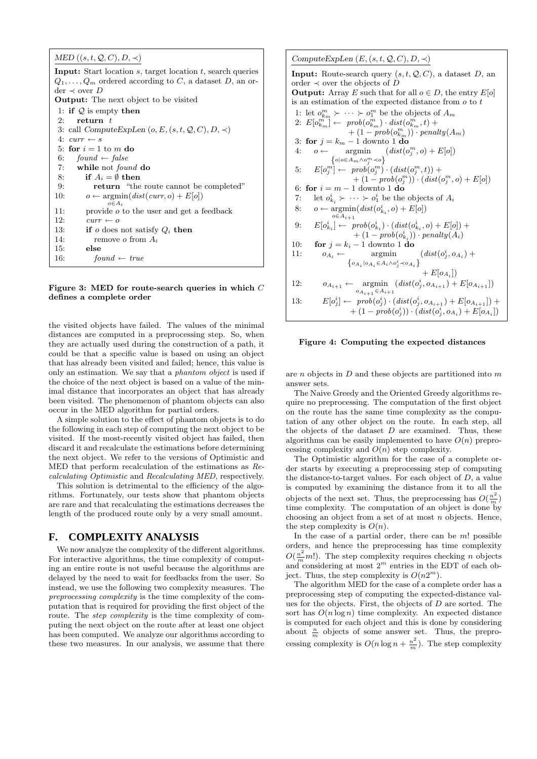| MED $((s, t, Q, C), D, \prec)$ |  |
|--------------------------------|--|
|--------------------------------|--|

**Input:** Start location  $s$ , target location  $t$ , search queries  $Q_1, \ldots, Q_m$  ordered according to C, a dataset D, an order ≺ over D Output: The next object to be visited 1: if  $Q$  is empty then 2: return  $t$ 3: call  $ComputeExpLen (o, E, (s, t, Q, C), D, \prec)$ 4:  $curr \leftarrow s$ 5: for  $i = 1$  to m do 6: found  $\leftarrow$  false 7: while not found do 8: if  $A_i = \emptyset$  then 9: return "the route cannot be completed" 10:  $o \leftarrow \operatorname{argmin}(dist(curr, o) + E[o])$  $o \in A_i$ 11: provide *o* to the user and get a feedback<br>12:  $curr \leftarrow o$  $curr \leftarrow o$ 13: if  $o$  does not satisfy  $Q_i$  then 14: remove *o* from  $A_i$ 15: else 16:  $found \leftarrow true$ 

Figure 3: MED for route-search queries in which C defines a complete order

the visited objects have failed. The values of the minimal distances are computed in a preprocessing step. So, when they are actually used during the construction of a path, it could be that a specific value is based on using an object that has already been visited and failed; hence, this value is only an estimation. We say that a phantom object is used if the choice of the next object is based on a value of the minimal distance that incorporates an object that has already been visited. The phenomenon of phantom objects can also occur in the MED algorithm for partial orders.

A simple solution to the effect of phantom objects is to do the following in each step of computing the next object to be visited. If the most-recently visited object has failed, then discard it and recalculate the estimations before determining the next object. We refer to the versions of Optimistic and MED that perform recalculation of the estimations as Recalculating Optimistic and Recalculating MED, respectively.

This solution is detrimental to the efficiency of the algorithms. Fortunately, our tests show that phantom objects are rare and that recalculating the estimations decreases the length of the produced route only by a very small amount.

# **F. COMPLEXITY ANALYSIS**

We now analyze the complexity of the different algorithms. For interactive algorithms, the time complexity of computing an entire route is not useful because the algorithms are delayed by the need to wait for feedbacks from the user. So instead, we use the following two complexity measures. The preprocessing complexity is the time complexity of the computation that is required for providing the first object of the route. The *step complexity* is the time complexity of computing the next object on the route after at least one object has been computed. We analyze our algorithms according to these two measures. In our analysis, we assume that there

ComputeExpLen  $(E, (s, t, Q, C), D, \prec)$ **Input:** Route-search query  $(s, t, Q, C)$ , a dataset D, an order  $\prec$  over the objects of  $\overline{D}$ **Output:** Array E such that for all  $o \in D$ , the entry  $E[o]$ is an estimation of the expected distance from  $o$  to  $t$ 1: let  $o_{k_m}^m \succ \cdots \succ o_1^m$  be the objects of  $A_m$ 2:  $E[o_{k_m}^{m_m}] \leftarrow prob(o_{k_m}^m) \cdot dist(o_{k_m}^m, t) +$  $+(1-prob(o_{k_m}^m))\cdot penalty(A_m)$ 3: for  $j = k_m - 1$  downto 1 do 4:  $o \leftarrow \text{argmin}$  $\left\{o|o \in A_m \wedge o_j^m \prec o\right\}$  $(dist(o_j^m, o) + E[o])$ 5:  $E[o_j^m] \leftarrow prob(o_j^m) \cdot (dist(o_j^m, t)) +$  $+(1-prob(o_j^m)) \cdot (dist(o_j^m, o) + E[o])$ 6: for  $i = m - 1$  downto 1 do 7: let  $o_{k_i}^i \succ \cdots \succ o_1^i$  be the objects of  $A_i$ 8:  $o \leftarrow \operatorname{argmin}(dist(o_{k_i}^i, o) + E[o])$  $o\in A_{i+1}$ 9:  $E[o_{k_i}^i] \leftarrow prob(o_{k_i}^i) \cdot (dist(o_{k_i}^i, o) + E[o]) +$  $+ (1 - prob(o_{k_i}^i)) \cdot penalty(A_i)$ 10: **for**  $j = k_i - 1$  downto 1 **do** 11:  $o_{A_i} \leftarrow \text{argmin}$  $\left\{ o_{A_{i}}\left|o_{A_{i}}\in A_{i}\wedge o_{j}^{i}\prec o_{A_{i}}\right. \right\}$  $(dist(o_j^i, o_{A_i}) +$  $+ E[*oa*<sub>i</sub>])$ 12:  $o_{A_{i+1}} \leftarrow \text{argmin}$  $o_{A_{i+1}} \in A_{i+1}$  $(dist(o_j^i, o_{A_{i+1}}) + E[o_{A_{i+1}}])$ 13:  $E[o_j^i] \leftarrow prob(o_j^i) \cdot (dist(o_j^i, o_{A_{i+1}}) + E[o_{A_{i+1}}]) +$  $+(1-prob(o_j^i))\cdot\left(dist(o_j^i,o_{A_i})+E[o_{A_i}]\right)$ 

#### Figure 4: Computing the expected distances

are  $n$  objects in  $D$  and these objects are partitioned into  $m$ answer sets.

The Naive Greedy and the Oriented Greedy algorithms require no preprocessing. The computation of the first object on the route has the same time complexity as the computation of any other object on the route. In each step, all the objects of the dataset  $D$  are examined. Thus, these algorithms can be easily implemented to have  $O(n)$  preprocessing complexity and  $O(n)$  step complexity.

The Optimistic algorithm for the case of a complete order starts by executing a preprocessing step of computing the distance-to-target values. For each object of  $D$ , a value is computed by examining the distance from it to all the objects of the next set. Thus, the preprocessing has  $O(\frac{n^2}{m})$ time complexity. The computation of an object is done by choosing an object from a set of at most  $n$  objects. Hence, the step complexity is  $O(n)$ .

In the case of a partial order, there can be  $m!$  possible orders, and hence the preprocessing has time complexity  $O(\frac{n^2}{m}m!)$ . The step complexity requires checking n objects and considering at most  $2^m$  entries in the EDT of each object. Thus, the step complexity is  $O(n2^m)$ .

The algorithm MED for the case of a complete order has a preprocessing step of computing the expected-distance values for the objects. First, the objects of  $D$  are sorted. The sort has  $O(n \log n)$  time complexity. An expected distance is computed for each object and this is done by considering about  $\frac{n}{m}$  objects of some answer set. Thus, the preprocessing complexity is  $O(n \log n + \frac{n^2}{m})$ . The step complexity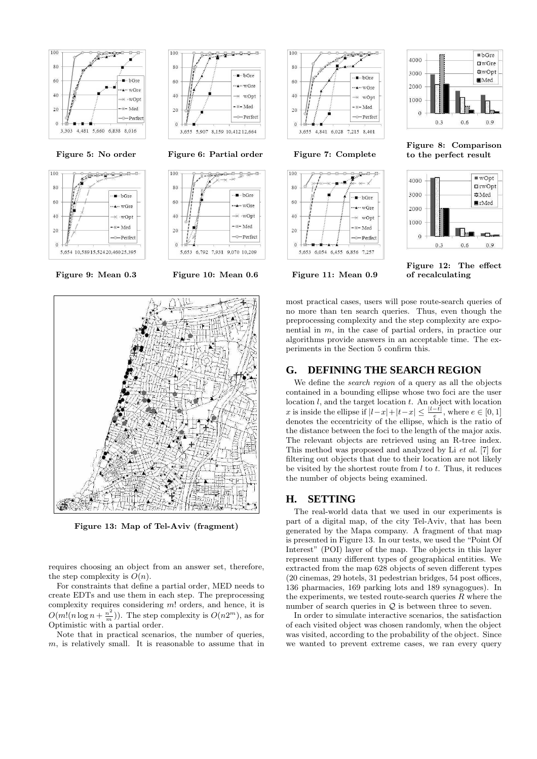



100 0000 80  $\cdot$   $\blacksquare$   $\cdot$  bGre 60 ∙∗∙ wGre  $^{40}$  $\times$  wOpt  $\mathbb{R}-$  Med  $20$ --<br>Perfect 3.655 5,907 8,159 10,412 12,664

Figure 5: No order Figure 6: Partial order Figure 7: Complete



Figure 9: Mean 0.3 Figure 10: Mean 0.6 Figure 11: Mean 0.9



Figure 13: Map of Tel-Aviv (fragment)

requires choosing an object from an answer set, therefore, the step complexity is  $O(n)$ .

For constraints that define a partial order, MED needs to create EDTs and use them in each step. The preprocessing complexity requires considering m! orders, and hence, it is  $O(m!(n \log n + \frac{n^2}{m}))$ . The step complexity is  $O(n2^m)$ , as for Optimistic with a partial order.

Note that in practical scenarios, the number of queries,  $m$ , is relatively small. It is reasonable to assume that in



5.653 6.054 6.455 6.856 7.257

 $-0 - 0 - \beta$ 

bGre

wGre

wOpt

Med

- Perfect

100

 $80$ 

60

 $40$ 

 $\overline{2}C$ 

 $\Omega$ 



Figure 8: Comparison to the perfect result



Figure 12: The effect of recalculating

most practical cases, users will pose route-search queries of no more than ten search queries. Thus, even though the preprocessing complexity and the step complexity are exponential in  $m$ , in the case of partial orders, in practice our algorithms provide answers in an acceptable time. The experiments in the Section 5 confirm this.

# **G. DEFINING THE SEARCH REGION**

We define the *search region* of a query as all the objects contained in a bounding ellipse whose two foci are the user location  $l$ , and the target location  $t$ . An object with location x is inside the ellipse if  $|l-x|+|t-x|\leq \frac{|l-t|}{e}$ , where  $e\in [0,1]$ denotes the eccentricity of the ellipse, which is the ratio of the distance between the foci to the length of the major axis. The relevant objects are retrieved using an R-tree index. This method was proposed and analyzed by Li et al. [7] for filtering out objects that due to their location are not likely be visited by the shortest route from  $l$  to  $t$ . Thus, it reduces the number of objects being examined.

# **H. SETTING**

The real-world data that we used in our experiments is part of a digital map, of the city Tel-Aviv, that has been generated by the Mapa company. A fragment of that map is presented in Figure 13. In our tests, we used the "Point Of Interest" (POI) layer of the map. The objects in this layer represent many different types of geographical entities. We extracted from the map 628 objects of seven different types (20 cinemas, 29 hotels, 31 pedestrian bridges, 54 post offices, 136 pharmacies, 169 parking lots and 189 synagogues). In the experiments, we tested route-search queries  $R$  where the number of search queries in  $Q$  is between three to seven.

In order to simulate interactive scenarios, the satisfaction of each visited object was chosen randomly, when the object was visited, according to the probability of the object. Since we wanted to prevent extreme cases, we ran every query